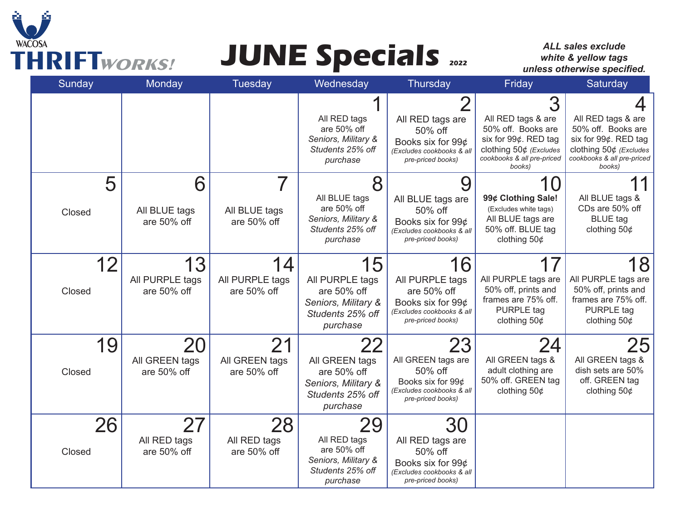

# **THRIFT***WORKS!* **JUNE Specials <sup>2022</sup>**

*ALL sales exclude white & yellow tags unless otherwise specified.* 

| Sunday                    | Monday                               | Tuesday                             | Wednesday                                                                                   | Thursday                                                                                                    | Friday                                                                                                                             | Saturday                                                                                                                           |
|---------------------------|--------------------------------------|-------------------------------------|---------------------------------------------------------------------------------------------|-------------------------------------------------------------------------------------------------------------|------------------------------------------------------------------------------------------------------------------------------------|------------------------------------------------------------------------------------------------------------------------------------|
|                           |                                      |                                     | All RED tags<br>are 50% off<br>Seniors, Military &<br>Students 25% off<br>purchase          | All RED tags are<br>50% off<br>Books six for 99¢<br>(Excludes cookbooks & all<br>pre-priced books)          | All RED tags & are<br>50% off. Books are<br>six for 99¢. RED tag<br>clothing 50¢ (Excludes<br>cookbooks & all pre-priced<br>books) | All RED tags & are<br>50% off. Books are<br>six for 99¢. RED tag<br>clothing 50¢ (Excludes<br>cookbooks & all pre-priced<br>books) |
| 5<br>Closed               | 6<br>All BLUE tags<br>are 50% off    | All BLUE tags<br>are 50% off        | 8<br>All BLUE tags<br>are 50% off<br>Seniors, Military &<br>Students 25% off<br>purchase    | 9<br>All BLUE tags are<br>50% off<br>Books six for 99¢<br>(Excludes cookbooks & all<br>pre-priced books)    | 99¢ Clothing Sale!<br>(Excludes white tags)<br>All BLUE tags are<br>50% off. BLUE tag<br>clothing $50¢$                            | All BLUE tags &<br>CDs are 50% off<br><b>BLUE</b> tag<br>clothing $50¢$                                                            |
| 12 <sub>2</sub><br>Closed | 13<br>All PURPLE tags<br>are 50% off | 4<br>All PURPLE tags<br>are 50% off | 15<br>All PURPLE tags<br>are 50% off<br>Seniors, Military &<br>Students 25% off<br>purchase | 16<br>All PURPLE tags<br>are 50% off<br>Books six for 99¢<br>(Excludes cookbooks & all<br>pre-priced books) | All PURPLE tags are<br>50% off, prints and<br>frames are 75% off.<br>PURPLE tag<br>clothing $50¢$                                  | 18<br>All PURPLE tags are<br>50% off, prints and<br>frames are 75% off.<br><b>PURPLE</b> tag<br>clothing $50¢$                     |
| 19<br>Closed              | 20<br>All GREEN tags<br>are 50% off  | 21<br>All GREEN tags<br>are 50% off | All GREEN tags<br>are 50% off<br>Seniors, Military &<br>Students 25% off<br>purchase        | 23<br>All GREEN tags are<br>50% off<br>Books six for 99¢<br>(Excludes cookbooks & all<br>pre-priced books)  | 24<br>All GREEN tags &<br>adult clothing are<br>50% off. GREEN tag<br>clothing $50¢$                                               | 25<br>All GREEN tags &<br>dish sets are 50%<br>off. GREEN tag<br>clothing $50¢$                                                    |
| 26<br>Closed              | 27<br>All RED tags<br>are 50% off    | 28<br>All RED tags<br>are 50% off   | 29<br>All RED tags<br>are 50% off<br>Seniors, Military &<br>Students 25% off<br>purchase    | 30<br>All RED tags are<br>50% off<br>Books six for 99¢<br>(Excludes cookbooks & all<br>pre-priced books)    |                                                                                                                                    |                                                                                                                                    |